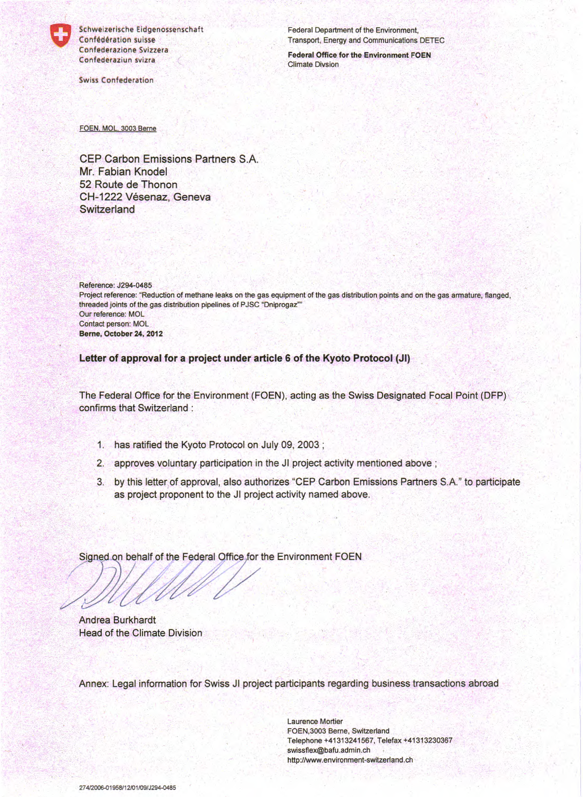Schweizerische Eidgenossenschaft Confédération suisse Confederazione Svizzera Confederaziun svizra

**Swiss Confederation** 

**Federal Department of the Environment,** Transport, Energy and Communications DETEC

**Federal Office for the Environment FOEN Climate Divsion** 

FOEN, MOL, 3003 Berne

**CEP Carbon Emissions Partners S.A.** Mr. Fabian Knodel 52 Route de Thonon CH-1222 Vésenaz, Geneva Switzerland

Reference: J294-0485 Project reference: "Reduction of methane leaks on the gas equipment of the gas distribution points and on the gas armature, flanged, threaded joints of the gas distribution pipelines of PJSC "Dniprogaz"" Our reference: MOL **Contact person: MOL** Berne, October 24, 2012

Letter of approval for a project under article 6 of the Kyoto Protocol (JI)

The Federal Office for the Environment (FOEN), acting as the Swiss Designated Focal Point (DFP) confirms that Switzerland :

- 1. has ratified the Kyoto Protocol on July 09, 2003;
- 2. approves voluntary participation in the JI project activity mentioned above ;
- 3. by this letter of approval, also authorizes "CEP Carbon Emissions Partners S.A." to participate as project proponent to the JI project activity named above.

Signed on behalf of the Federal Office for the Environment FOEN

Andrea Burkhardt Head of the Climate Division

Annex: Legal information for Swiss JI project participants regarding business transactions abroad

**Laurence Mortier** FOEN, 3003 Berne, Switzerland Telephone +41313241567, Telefax +41313230367 swissflex@bafu.admin.ch http://www.environment-switzerland.ch